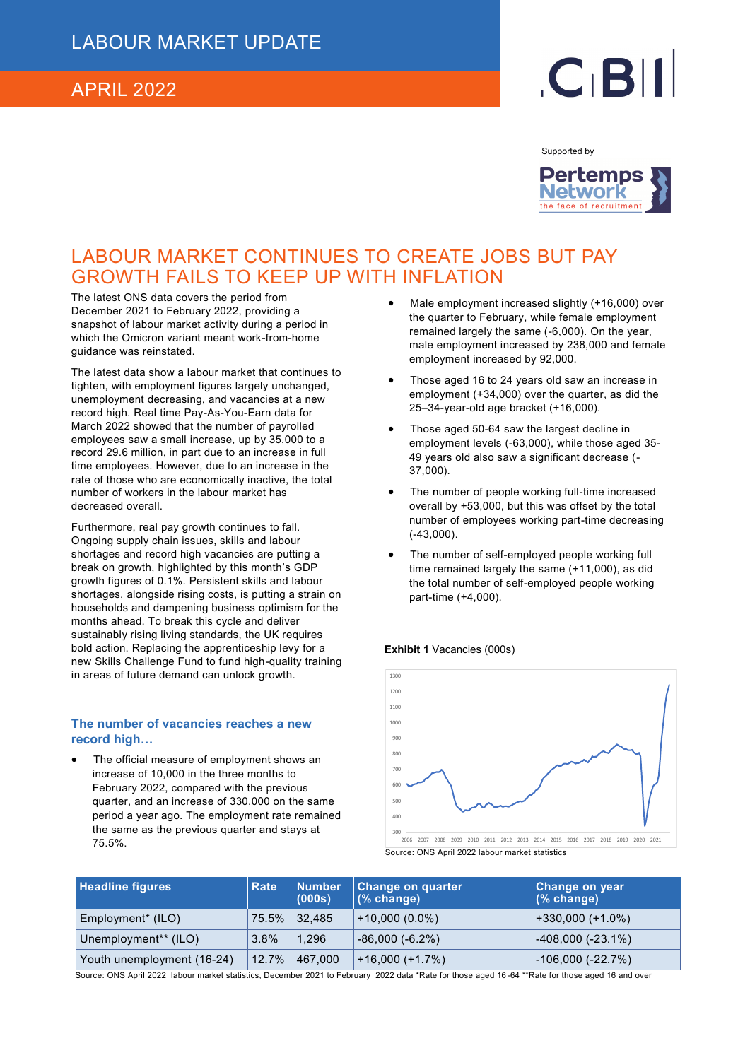### APRIL 2022

# $C$  $B$

Supported by



## LABOUR MARKET CONTINUES TO CREATE JOBS BUT PAY GROWTH FAILS TO KEEP UP WITH INFLATION

The latest ONS data covers the period from December 2021 to February 2022, providing a snapshot of labour market activity during a period in which the Omicron variant meant work-from-home guidance was reinstated.

The latest data show a labour market that continues to tighten, with employment figures largely unchanged, unemployment decreasing, and vacancies at a new record high. Real time Pay-As-You-Earn data for March 2022 showed that the number of payrolled employees saw a small increase, up by 35,000 to a record 29.6 million, in part due to an increase in full time employees. However, due to an increase in the rate of those who are economically inactive, the total number of workers in the labour market has decreased overall.

Furthermore, real pay growth continues to fall. Ongoing supply chain issues, skills and labour shortages and record high vacancies are putting a break on growth, highlighted by this month's GDP growth figures of 0.1%. Persistent skills and labour shortages, alongside rising costs, is putting a strain on households and dampening business optimism for the months ahead. To break this cycle and deliver sustainably rising living standards, the UK requires bold action. Replacing the apprenticeship levy for a new Skills Challenge Fund to fund high-quality training in areas of future demand can unlock growth.

#### **The number of vacancies reaches a new record high…**

• The official measure of employment shows an increase of 10,000 in the three months to February 2022, compared with the previous quarter, and an increase of 330,000 on the same period a year ago. The employment rate remained the same as the previous quarter and stays at 75.5%.

- Male employment increased slightly (+16,000) over the quarter to February, while female employment remained largely the same (-6,000). On the year, male employment increased by 238,000 and female employment increased by 92,000.
- Those aged 16 to 24 years old saw an increase in employment (+34,000) over the quarter, as did the 25–34-year-old age bracket (+16,000).
- Those aged 50-64 saw the largest decline in employment levels (-63,000), while those aged 35- 49 years old also saw a significant decrease (- 37,000).
- The number of people working full-time increased overall by +53,000, but this was offset by the total number of employees working part-time decreasing (-43,000).
- The number of self-employed people working full time remained largely the same (+11,000), as did the total number of self-employed people working part-time (+4,000).

#### **Exhibit 1** Vacancies (000s)



| <b>Headline figures</b>    | <b>Rate</b> | <b>Number</b><br>(000s) | <b>Change on quarter</b><br>(% change) | <b>Change on year</b><br>(% change) |
|----------------------------|-------------|-------------------------|----------------------------------------|-------------------------------------|
| Employment* (ILO)          | 75.5%       | 32.485                  | $+10,000(0.0\%)$                       | $+330,000 (+1.0%)$                  |
| Unemployment** (ILO)       | 3.8%        | 1,296                   | $-86,000(-6.2%)$                       | $-408,000(-23.1\%)$                 |
| Youth unemployment (16-24) | 12.7%       | 467,000                 | $+16,000 (+1.7%)$                      | $-106,000(-22.7%)$                  |

Source: ONS April 2022 labour market statistics, December 2021 to February 2022 data \*Rate for those aged 16 -64 \*\*Rate for those aged 16 and over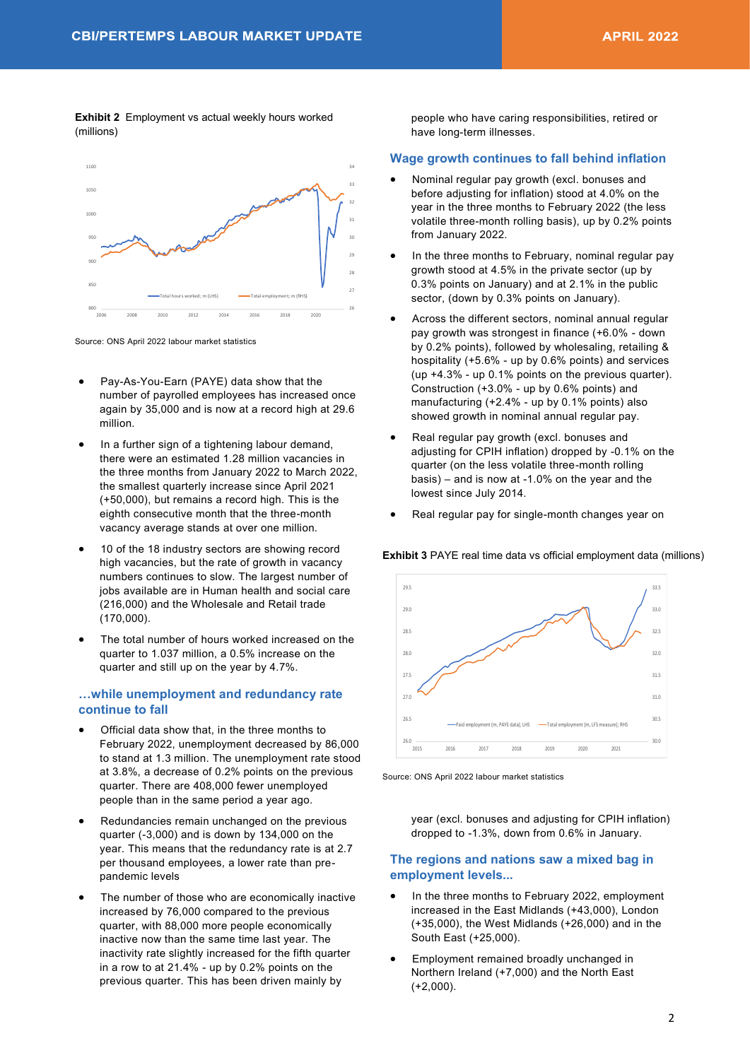**Exhibit 2** Employment vs actual weekly hours worked (millions)



Source: ONS April 2022 labour market statistics

- Pay-As-You-Earn (PAYE) data show that the number of payrolled employees has increased once again by 35,000 and is now at a record high at 29.6 million.
- In a further sign of a tightening labour demand, there were an estimated 1.28 million vacancies in the three months from January 2022 to March 2022, the smallest quarterly increase since April 2021 (+50,000), but remains a record high. This is the eighth consecutive month that the three-month vacancy average stands at over one million.
- 10 of the 18 industry sectors are showing record high vacancies, but the rate of growth in vacancy numbers continues to slow. The largest number of jobs available are in Human health and social care (216,000) and the Wholesale and Retail trade (170,000).
- The total number of hours worked increased on the quarter to 1.037 million, a 0.5% increase on the quarter and still up on the year by 4.7%.

#### **…while unemployment and redundancy rate continue to fall**

- Official data show that, in the three months to February 2022, unemployment decreased by 86,000 to stand at 1.3 million. The unemployment rate stood at 3.8%, a decrease of 0.2% points on the previous quarter. There are 408,000 fewer unemployed people than in the same period a year ago.
- Redundancies remain unchanged on the previous quarter (-3,000) and is down by 134,000 on the year. This means that the redundancy rate is at 2.7 per thousand employees, a lower rate than prepandemic levels
- The number of those who are economically inactive increased by 76,000 compared to the previous quarter, with 88,000 more people economically inactive now than the same time last year. The inactivity rate slightly increased for the fifth quarter in a row to at 21.4% - up by 0.2% points on the previous quarter. This has been driven mainly by

people who have caring responsibilities, retired or have long-term illnesses.

#### **Wage growth continues to fall behind inflation**

- Nominal regular pay growth (excl. bonuses and before adjusting for inflation) stood at 4.0% on the year in the three months to February 2022 (the less volatile three-month rolling basis), up by 0.2% points from January 2022.
- In the three months to February, nominal regular pay growth stood at 4.5% in the private sector (up by 0.3% points on January) and at 2.1% in the public sector, (down by 0.3% points on January).
- Across the different sectors, nominal annual regular pay growth was strongest in finance (+6.0% - down by 0.2% points), followed by wholesaling, retailing & hospitality (+5.6% - up by 0.6% points) and services (up +4.3% - up 0.1% points on the previous quarter). Construction (+3.0% - up by 0.6% points) and manufacturing (+2.4% - up by 0.1% points) also showed growth in nominal annual regular pay.
- Real regular pay growth (excl. bonuses and adjusting for CPIH inflation) dropped by -0.1% on the quarter (on the less volatile three-month rolling basis) – and is now at -1.0% on the year and the lowest since July 2014.
- Real regular pay for single-month changes year on



**Exhibit 3 PAYE real time data vs official employment data (millions)** 

Source: ONS April 2022 labour market statistics

year (excl. bonuses and adjusting for CPIH inflation) dropped to -1.3%, down from 0.6% in January.

#### **The regions and nations saw a mixed bag in employment levels...**

- In the three months to February 2022, employment increased in the East Midlands (+43,000), London (+35,000), the West Midlands (+26,000) and in the South East (+25,000).
- Employment remained broadly unchanged in Northern Ireland (+7,000) and the North East  $(+2,000)$ .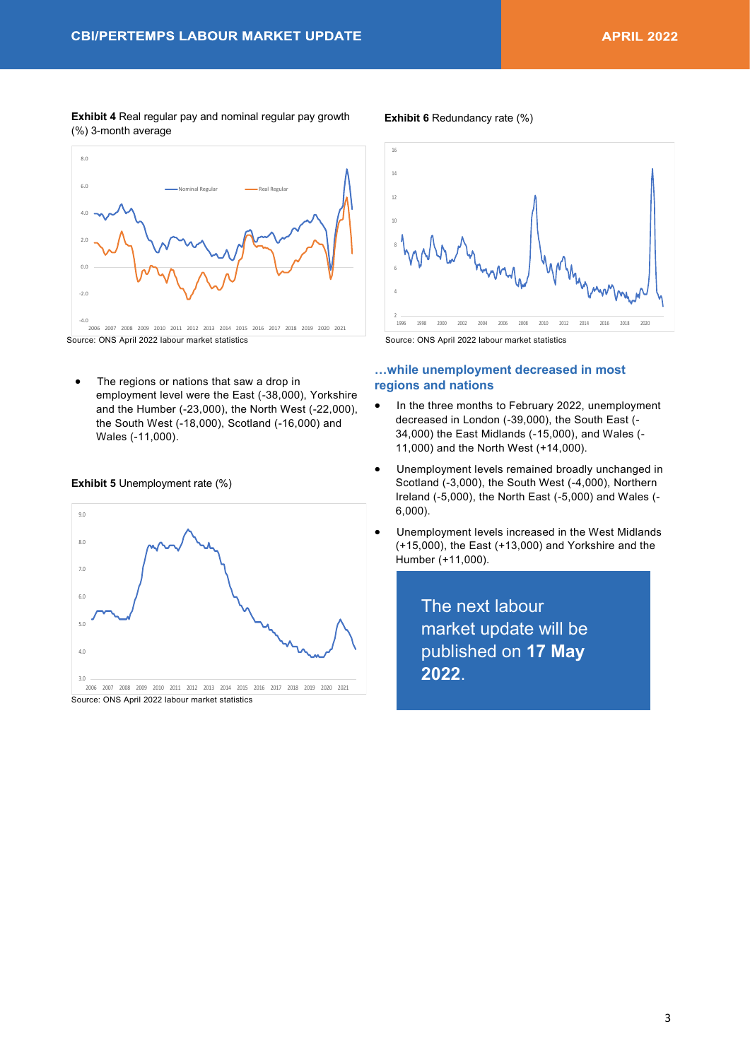**Exhibit 4** Real regular pay and nominal regular pay growth **Exhibit 6** Redundancy rate (%) (%) 3-month average



• The regions or nations that saw a drop in employment level were the East (-38,000), Yorkshire and the Humber (-23,000), the North West (-22,000), the South West (-18,000), Scotland (-16,000) and Wales (-11,000).

#### **Exhibit 5** Unemployment rate (%)



Source: ONS April 2022 labour market statistics



Source: ONS April 2022 labour market statistics

#### **…while unemployment decreased in most regions and nations**

- In the three months to February 2022, unemployment decreased in London (-39,000), the South East (- 34,000) the East Midlands (-15,000), and Wales (- 11,000) and the North West (+14,000).
- Unemployment levels remained broadly unchanged in Scotland (-3,000), the South West (-4,000), Northern Ireland (-5,000), the North East (-5,000) and Wales (- 6,000).
- Unemployment levels increased in the West Midlands (+15,000), the East (+13,000) and Yorkshire and the Humber (+11,000).

The next labour market update will be published on **17 May 2022**.